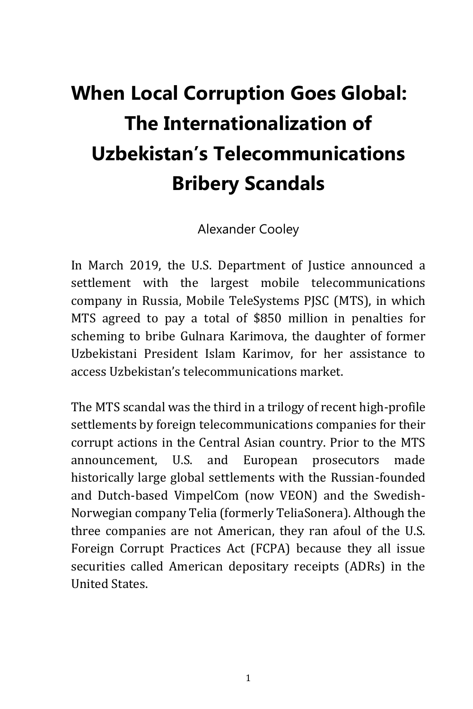

This is a complimentary excerpt from TRACE's book *Corrosive: Corruption and its Consequences*, available for purchase on **Amazon.com**.

# **When Local Corruption Goes Global: The Internationalization of Uzbekistan's Telecommunications Bribery Scandals**

Alexander Cooley

In March 2019, the U.S. Department of Justice announced a settlement with the largest mobile telecommunications company in Russia, Mobile TeleSystems PJSC (MTS), in which MTS agreed to pay a total of \$850 million in penalties for scheming to bribe Gulnara Karimova, the daughter of former Uzbekistani President Islam Karimov, for her assistance to access Uzbekistan's telecommunications market.

The MTS scandal was the third in a trilogy of recent high-profile settlements by foreign telecommunications companies for their corrupt actions in the Central Asian country. Prior to the MTS announcement, U.S. and European prosecutors made historically large global settlements with the Russian-founded and Dutch-based VimpelCom (now VEON) and the Swedish-Norwegian company Telia (formerly TeliaSonera). Although the three companies are not American, they ran afoul of the U.S. Foreign Corrupt Practices Act (FCPA) because they all issue securities called American depositary receipts (ADRs) in the United States.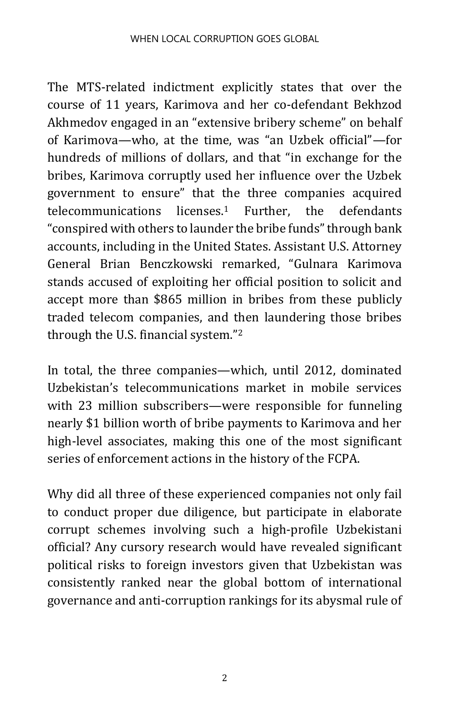The MTS-related indictment explicitly states that over the course of 11 years, Karimova and her co-defendant Bekhzod Akhmedov engaged in an "extensive bribery scheme" on behalf of Karimova—who, at the time, was "an Uzbek official"—for hundreds of millions of dollars, and that "in exchange for the bribes, Karimova corruptly used her influence over the Uzbek government to ensure" that the three companies acquired telecommunications licenses.<sup>1</sup> Further, the defendants "conspired with others to launder the bribe funds" through bank accounts, including in the United States. Assistant U.S. Attorney General Brian Benczkowski remarked, "Gulnara Karimova stands accused of exploiting her official position to solicit and accept more than \$865 million in bribes from these publicly traded telecom companies, and then laundering those bribes through the U.S. financial system."<sup>2</sup>

In total, the three companies—which, until 2012, dominated Uzbekistan's telecommunications market in mobile services with 23 million subscribers—were responsible for funneling nearly \$1 billion worth of bribe payments to Karimova and her high-level associates, making this one of the most significant series of enforcement actions in the history of the FCPA.

Why did all three of these experienced companies not only fail to conduct proper due diligence, but participate in elaborate corrupt schemes involving such a high-profile Uzbekistani official? Any cursory research would have revealed significant political risks to foreign investors given that Uzbekistan was consistently ranked near the global bottom of international governance and anti-corruption rankings for its abysmal rule of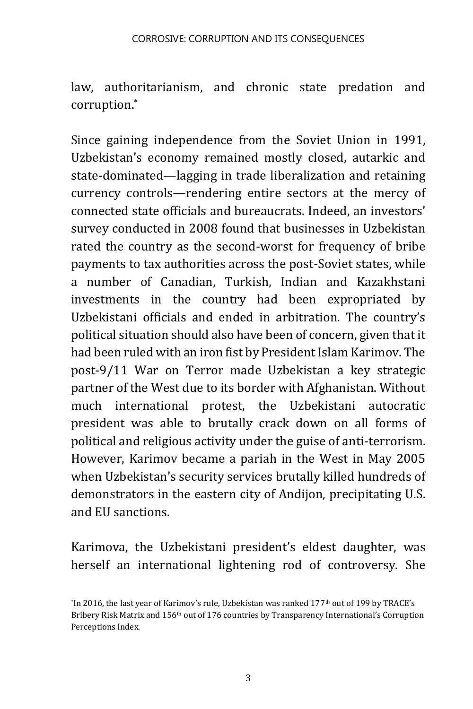law, authoritarianism, and chronic state predation and corruption.\*

Since gaining independence from the Soviet Union in 1991, Uzbekistan's economy remained mostly closed, autarkic and state-dominated—lagging in trade liberalization and retaining currency controls—rendering entire sectors at the mercy of connected state officials and bureaucrats. Indeed, an investors' survey conducted in 2008 found that businesses in Uzbekistan rated the country as the second-worst for frequency of bribe payments to tax authorities across the post-Soviet states, while a number of Canadian, Turkish, Indian and Kazakhstani investments in the country had been expropriated by Uzbekistani officials and ended in arbitration. The country's political situation should also have been of concern, given that it had been ruled with an iron fist by President Islam Karimov. The post-9/11 War on Terror made Uzbekistan a key strategic partner of the West due to its border with Afghanistan. Without much international protest, the Uzbekistani autocratic president was able to brutally crack down on all forms of political and religious activity under the guise of anti-terrorism. However, Karimov became a pariah in the West in May 2005 when Uzbekistan's security services brutally killed hundreds of demonstrators in the eastern city of Andijon, precipitating U.S. and EU sanctions.

Karimova, the Uzbekistani president's eldest daughter, was herself an international lightening rod of controversy. She

<sup>\*</sup> In 2016, the last year of Karimov's rule, Uzbekistan was ranked 177th out of 199 by TRACE's Bribery Risk Matrix and 156<sup>th</sup> out of 176 countries by Transparency International's Corruption Perceptions Index.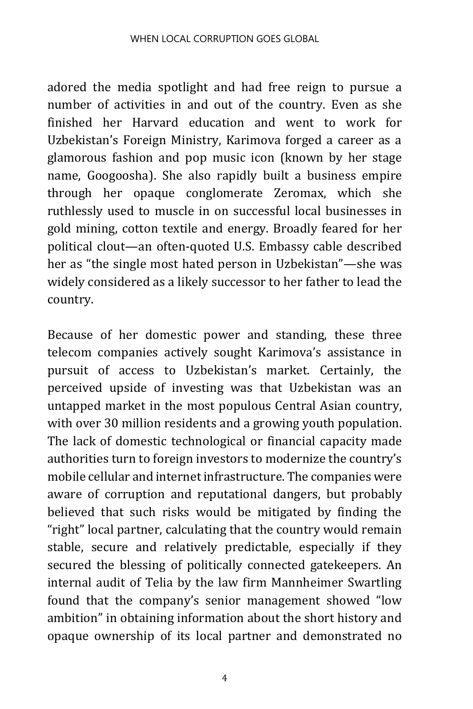adored the media spotlight and had free reign to pursue a number of activities in and out of the country. Even as she finished her Harvard education and went to work for Uzbekistan's Foreign Ministry, Karimova forged a career as a glamorous fashion and pop music icon (known by her stage name, Googoosha). She also rapidly built a business empire through her opaque conglomerate Zeromax, which she ruthlessly used to muscle in on successful local businesses in gold mining, cotton textile and energy. Broadly feared for her political clout—an often-quoted U.S. Embassy cable described her as "the single most hated person in Uzbekistan"—she was widely considered as a likely successor to her father to lead the country.

Because of her domestic power and standing, these three telecom companies actively sought Karimova's assistance in pursuit of access to Uzbekistan's market. Certainly, the perceived upside of investing was that Uzbekistan was an untapped market in the most populous Central Asian country, with over 30 million residents and a growing youth population. The lack of domestic technological or financial capacity made authorities turn to foreign investors to modernize the country's mobile cellular and internet infrastructure. The companies were aware of corruption and reputational dangers, but probably believed that such risks would be mitigated by finding the "right" local partner, calculating that the country would remain stable, secure and relatively predictable, especially if they secured the blessing of politically connected gatekeepers. An internal audit of Telia by the law firm Mannheimer Swartling found that the company's senior management showed "low ambition" in obtaining information about the short history and opaque ownership of its local partner and demonstrated no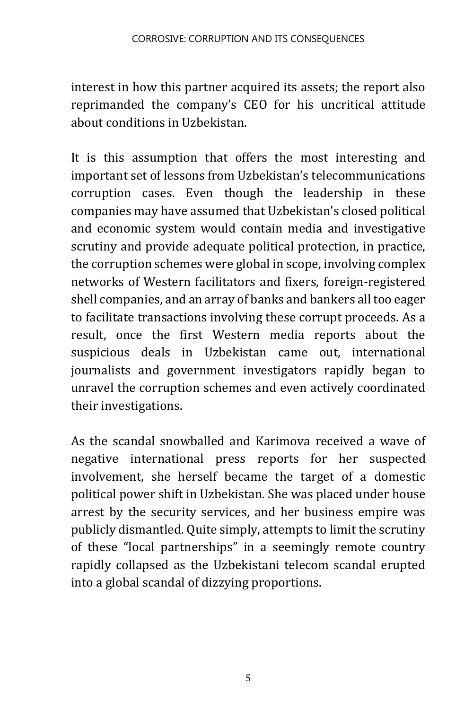interest in how this partner acquired its assets; the report also reprimanded the company's CEO for his uncritical attitude about conditions in Uzbekistan.

It is this assumption that offers the most interesting and important set of lessons from Uzbekistan's telecommunications corruption cases. Even though the leadership in these companies may have assumed that Uzbekistan's closed political and economic system would contain media and investigative scrutiny and provide adequate political protection, in practice, the corruption schemes were global in scope, involving complex networks of Western facilitators and fixers, foreign-registered shell companies, and an array of banks and bankers all too eager to facilitate transactions involving these corrupt proceeds. As a result, once the first Western media reports about the suspicious deals in Uzbekistan came out, international journalists and government investigators rapidly began to unravel the corruption schemes and even actively coordinated their investigations.

As the scandal snowballed and Karimova received a wave of negative international press reports for her suspected involvement, she herself became the target of a domestic political power shift in Uzbekistan. She was placed under house arrest by the security services, and her business empire was publicly dismantled. Quite simply, attempts to limit the scrutiny of these "local partnerships" in a seemingly remote country rapidly collapsed as the Uzbekistani telecom scandal erupted into a global scandal of dizzying proportions.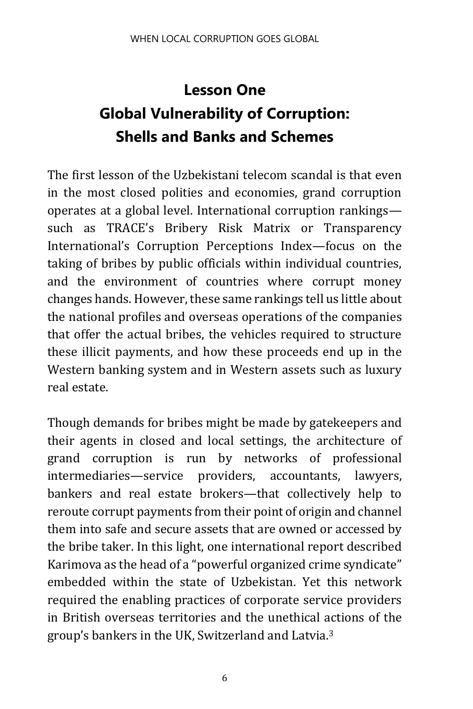## **Lesson One Global Vulnerability of Corruption: Shells and Banks and Schemes**

The first lesson of the Uzbekistani telecom scandal is that even in the most closed polities and economies, grand corruption operates at a global level. International corruption rankings such as TRACE's Bribery Risk Matrix or Transparency International's Corruption Perceptions Index—focus on the taking of bribes by public officials within individual countries, and the environment of countries where corrupt money changes hands. However, these same rankings tell us little about the national profiles and overseas operations of the companies that offer the actual bribes, the vehicles required to structure these illicit payments, and how these proceeds end up in the Western banking system and in Western assets such as luxury real estate.

<span id="page-5-0"></span>Though demands for bribes might be made by gatekeepers and their agents in closed and local settings, the architecture of grand corruption is run by networks of professional intermediaries—service providers, accountants, lawyers, bankers and real estate brokers—that collectively help to reroute corrupt payments from their point of origin and channel them into safe and secure assets that are owned or accessed by the bribe taker. In this light, one international report described Karimova as the head of a "powerful organized crime syndicate" embedded within the state of Uzbekistan. Yet this network required the enabling practices of corporate service providers in British overseas territories and the unethical actions of the group's bankers in the UK, Switzerland and Latvia.3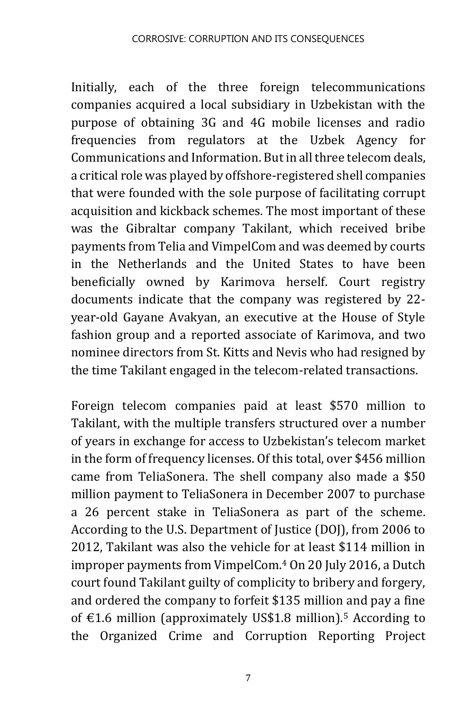Initially, each of the three foreign telecommunications companies acquired a local subsidiary in Uzbekistan with the purpose of obtaining 3G and 4G mobile licenses and radio frequencies from regulators at the Uzbek Agency for Communications and Information. But in all three telecom deals, a critical role was played by offshore-registered shell companies that were founded with the sole purpose of facilitating corrupt acquisition and kickback schemes. The most important of these was the Gibraltar company Takilant, which received bribe payments from Telia and VimpelCom and was deemed by courts in the Netherlands and the United States to have been beneficially owned by Karimova herself. Court registry documents indicate that the company was registered by 22 year-old Gayane Avakyan, an executive at the House of Style fashion group and a reported associate of Karimova, and two nominee directors from St. Kitts and Nevis who had resigned by the time Takilant engaged in the telecom-related transactions.

Foreign telecom companies paid at least \$570 million to Takilant, with the multiple transfers structured over a number of years in exchange for access to Uzbekistan's telecom market in the form of frequency licenses. Of this total, over \$456 million came from TeliaSonera. The shell company also made a \$50 million payment to TeliaSonera in December 2007 to purchase a 26 percent stake in TeliaSonera as part of the scheme. According to the U.S. Department of Justice (DOJ), from 2006 to 2012, Takilant was also the vehicle for at least \$114 million in improper payments from VimpelCom.<sup>4</sup> On 20 July 2016, a Dutch court found Takilant guilty of complicity to bribery and forgery, and ordered the company to forfeit \$135 million and pay a fine of €1.6 million (approximately US\$1.8 million).<sup>5</sup> According to the Organized Crime and Corruption Reporting Project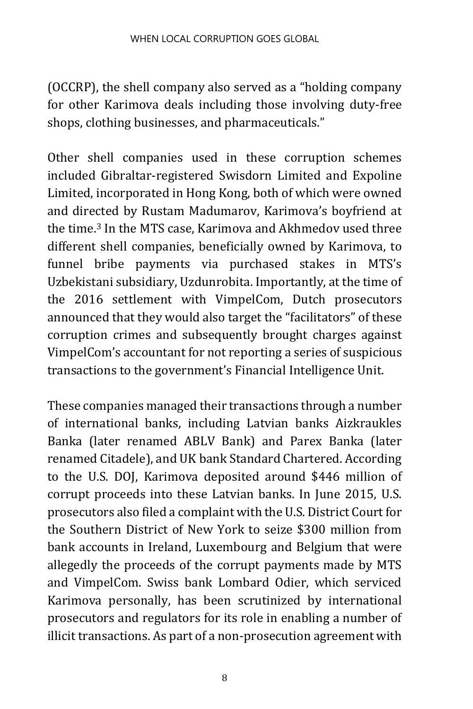(OCCRP), the shell company also served as a "holding company for other Karimova deals including those involving duty-free shops, clothing businesses, and pharmaceuticals."

Other shell companies used in these corruption schemes included Gibraltar-registered Swisdorn Limited and Expoline Limited, incorporated in Hong Kong, both of which were owned and directed by Rustam Madumarov, Karimova's boyfriend at the time.[3](#page-5-0) In the MTS case, Karimova and Akhmedov used three different shell companies, beneficially owned by Karimova, to funnel bribe payments via purchased stakes in MTS's Uzbekistani subsidiary, Uzdunrobita. Importantly, at the time of the 2016 settlement with VimpelCom, Dutch prosecutors announced that they would also target the "facilitators" of these corruption crimes and subsequently brought charges against VimpelCom's accountant for not reporting a series of suspicious transactions to the government's Financial Intelligence Unit.

These companies managed their transactions through a number of international banks, including Latvian banks Aizkraukles Banka (later renamed ABLV Bank) and Parex Banka (later renamed Citadele), and UK bank Standard Chartered. According to the U.S. DOJ, Karimova deposited around \$446 million of corrupt proceeds into these Latvian banks. In June 2015, U.S. prosecutors also filed a complaint with the U.S. District Court for the Southern District of New York to seize \$300 million from bank accounts in Ireland, Luxembourg and Belgium that were allegedly the proceeds of the corrupt payments made by MTS and VimpelCom. Swiss bank Lombard Odier, which serviced Karimova personally, has been scrutinized by international prosecutors and regulators for its role in enabling a number of illicit transactions. As part of a non-prosecution agreement with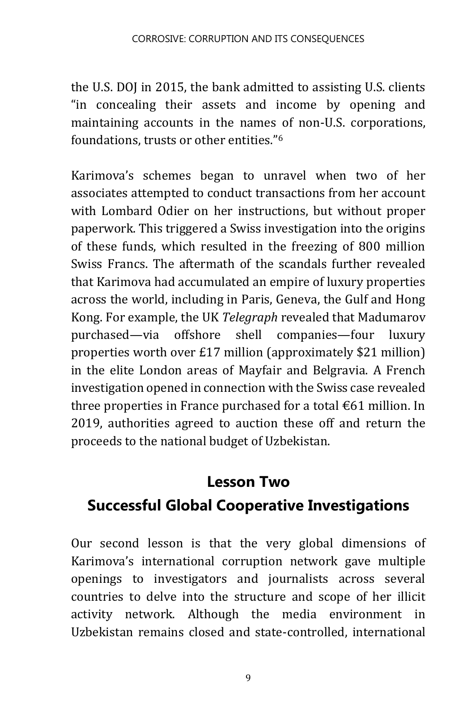the U.S. DOJ in 2015, the bank admitted to assisting U.S. clients "in concealing their assets and income by opening and maintaining accounts in the names of non-U.S. corporations, foundations, trusts or other entities."[6](#page-11-0)

Karimova's schemes began to unravel when two of her associates attempted to conduct transactions from her account with Lombard Odier on her instructions, but without proper paperwork. This triggered a Swiss investigation into the origins of these funds, which resulted in the freezing of 800 million Swiss Francs. The aftermath of the scandals further revealed that Karimova had accumulated an empire of luxury properties across the world, including in Paris, Geneva, the Gulf and Hong Kong. For example, the UK *Telegraph* revealed that Madumarov purchased—via offshore shell companies—four luxury properties worth over £17 million (approximately \$21 million) in the elite London areas of Mayfair and Belgravia. A French investigation opened in connection with the Swiss case revealed three properties in France purchased for a total  $\epsilon$ 61 million. In 2019, authorities agreed to auction these off and return the proceeds to the national budget of Uzbekistan.

#### **Lesson Two**

#### **Successful Global Cooperative Investigations**

Our second lesson is that the very global dimensions of Karimova's international corruption network gave multiple openings to investigators and journalists across several countries to delve into the structure and scope of her illicit activity network. Although the media environment in Uzbekistan remains closed and state-controlled, international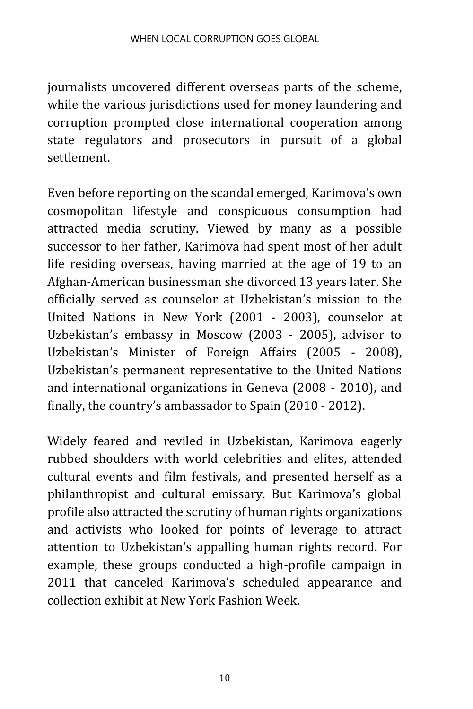journalists uncovered different overseas parts of the scheme, while the various jurisdictions used for money laundering and corruption prompted close international cooperation among state regulators and prosecutors in pursuit of a global settlement.

Even before reporting on the scandal emerged, Karimova's own cosmopolitan lifestyle and conspicuous consumption had attracted media scrutiny. Viewed by many as a possible successor to her father, Karimova had spent most of her adult life residing overseas, having married at the age of 19 to an Afghan-American businessman she divorced 13 years later. She officially served as counselor at Uzbekistan's mission to the United Nations in New York (2001 - 2003), counselor at Uzbekistan's embassy in Moscow (2003 - 2005), advisor to Uzbekistan's Minister of Foreign Affairs (2005 - 2008), Uzbekistan's permanent representative to the United Nations and international organizations in Geneva (2008 - 2010), and finally, the country's ambassador to Spain (2010 - 2012).

Widely feared and reviled in Uzbekistan, Karimova eagerly rubbed shoulders with world celebrities and elites, attended cultural events and film festivals, and presented herself as a philanthropist and cultural emissary. But Karimova's global profile also attracted the scrutiny of human rights organizations and activists who looked for points of leverage to attract attention to Uzbekistan's appalling human rights record. For example, these groups conducted a high-profile campaign in 2011 that canceled Karimova's scheduled appearance and collection exhibit at New York Fashion Week.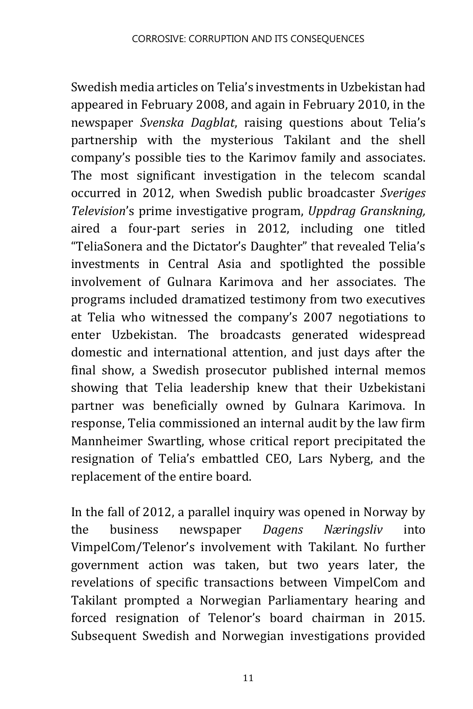Swedish media articles on Telia's investments in Uzbekistan had appeared in February 2008, and again in February 2010, in the newspaper *Svenska Dagblat*, raising questions about Telia's partnership with the mysterious Takilant and the shell company's possible ties to the Karimov family and associates. The most significant investigation in the telecom scandal occurred in 2012, when Swedish public broadcaster *Sveriges Television*'s prime investigative program, *Uppdrag Granskning,*  aired a four-part series in 2012, including one titled "TeliaSonera and the Dictator's Daughter" that revealed Telia's investments in Central Asia and spotlighted the possible involvement of Gulnara Karimova and her associates. The programs included dramatized testimony from two executives at Telia who witnessed the company's 2007 negotiations to enter Uzbekistan. The broadcasts generated widespread domestic and international attention, and just days after the final show, a Swedish prosecutor published internal memos showing that Telia leadership knew that their Uzbekistani partner was beneficially owned by Gulnara Karimova. In response, Telia commissioned an internal audit by the law firm Mannheimer Swartling, whose critical report precipitated the resignation of Telia's embattled CEO, Lars Nyberg, and the replacement of the entire board.

In the fall of 2012, a parallel inquiry was opened in Norway by the business newspaper *Dagens Næringsliv* into VimpelCom/Telenor's involvement with Takilant. No further government action was taken, but two years later, the revelations of specific transactions between VimpelCom and Takilant prompted a Norwegian Parliamentary hearing and forced resignation of Telenor's board chairman in 2015. Subsequent Swedish and Norwegian investigations provided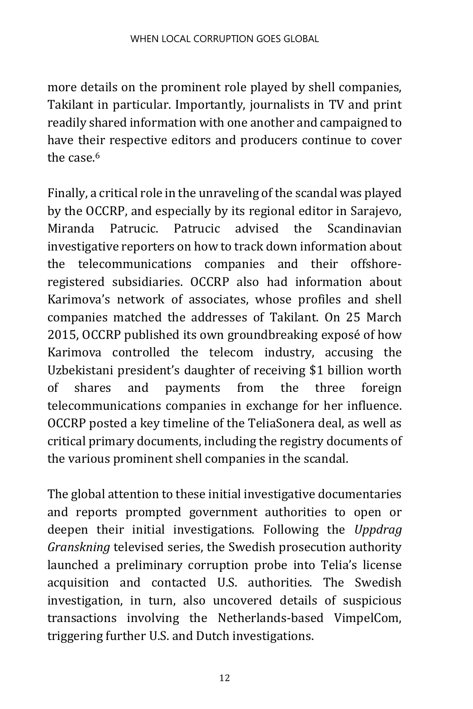more details on the prominent role played by shell companies, Takilant in particular. Importantly, journalists in TV and print readily shared information with one another and campaigned to have their respective editors and producers continue to cover the case  $6$ 

<span id="page-11-0"></span>Finally, a critical role in the unraveling of the scandal was played by the OCCRP, and especially by its regional editor in Sarajevo, Miranda Patrucic. Patrucic advised the Scandinavian investigative reporters on how to track down information about the telecommunications companies and their offshoreregistered subsidiaries. OCCRP also had information about Karimova's network of associates, whose profiles and shell companies matched the addresses of Takilant. On 25 March 2015, OCCRP published its own groundbreaking exposé of how Karimova controlled the telecom industry, accusing the Uzbekistani president's daughter of receiving \$1 billion worth of shares and payments from the three foreign telecommunications companies in exchange for her influence. OCCRP posted a key timeline of the TeliaSonera deal, as well as critical primary documents, including the registry documents of the various prominent shell companies in the scandal.

The global attention to these initial investigative documentaries and reports prompted government authorities to open or deepen their initial investigations. Following the *Uppdrag Granskning* televised series, the Swedish prosecution authority launched a preliminary corruption probe into Telia's license acquisition and contacted U.S. authorities. The Swedish investigation, in turn, also uncovered details of suspicious transactions involving the Netherlands-based VimpelCom, triggering further U.S. and Dutch investigations.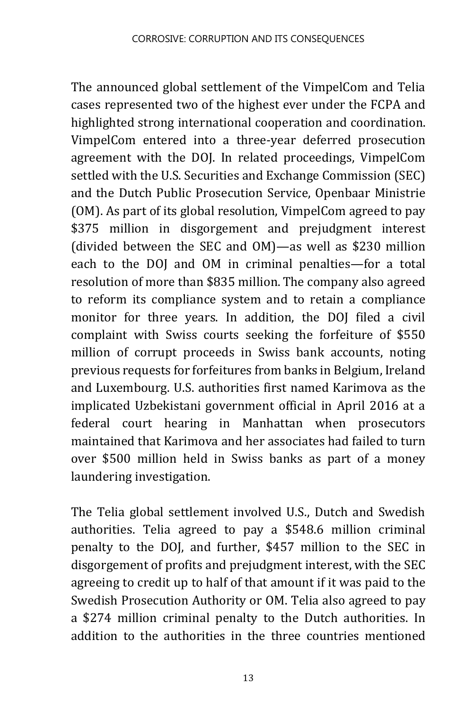The announced global settlement of the VimpelCom and Telia cases represented two of the highest ever under the FCPA and highlighted strong international cooperation and coordination. VimpelCom entered into a three-year deferred prosecution agreement with the DOJ. In related proceedings, VimpelCom settled with the U.S. Securities and Exchange Commission (SEC) and the Dutch Public Prosecution Service, Openbaar Ministrie (OM). As part of its global resolution, VimpelCom agreed to pay \$375 million in disgorgement and prejudgment interest (divided between the SEC and OM)—as well as \$230 million each to the DOJ and OM in criminal penalties—for a total resolution of more than \$835 million. The company also agreed to reform its compliance system and to retain a compliance monitor for three years. In addition, the DOJ filed a civil complaint with Swiss courts seeking the forfeiture of \$550 million of corrupt proceeds in Swiss bank accounts, noting previous requests for forfeitures from banks in Belgium, Ireland and Luxembourg. U.S. authorities first named Karimova as the implicated Uzbekistani government official in April 2016 at a federal court hearing in Manhattan when prosecutors maintained that Karimova and her associates had failed to turn over \$500 million held in Swiss banks as part of a money laundering investigation.

The Telia global settlement involved U.S., Dutch and Swedish authorities. Telia agreed to pay a \$548.6 million criminal penalty to the DOJ, and further, \$457 million to the SEC in disgorgement of profits and prejudgment interest, with the SEC agreeing to credit up to half of that amount if it was paid to the Swedish Prosecution Authority or OM. Telia also agreed to pay a \$274 million criminal penalty to the Dutch authorities. In addition to the authorities in the three countries mentioned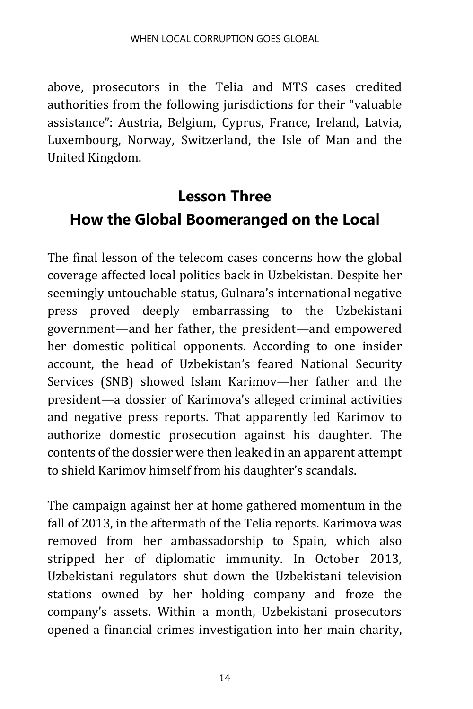above, prosecutors in the Telia and MTS cases credited authorities from the following jurisdictions for their "valuable assistance": Austria, Belgium, Cyprus, France, Ireland, Latvia, Luxembourg, Norway, Switzerland, the Isle of Man and the United Kingdom.

## **Lesson Three How the Global Boomeranged on the Local**

The final lesson of the telecom cases concerns how the global coverage affected local politics back in Uzbekistan. Despite her seemingly untouchable status, Gulnara's international negative press proved deeply embarrassing to the Uzbekistani government—and her father, the president—and empowered her domestic political opponents. According to one insider account, the head of Uzbekistan's feared National Security Services (SNB) showed Islam Karimov—her father and the president—a dossier of Karimova's alleged criminal activities and negative press reports. That apparently led Karimov to authorize domestic prosecution against his daughter. The contents of the dossier were then leaked in an apparent attempt to shield Karimov himself from his daughter's scandals.

The campaign against her at home gathered momentum in the fall of 2013, in the aftermath of the Telia reports. Karimova was removed from her ambassadorship to Spain, which also stripped her of diplomatic immunity. In October 2013, Uzbekistani regulators shut down the Uzbekistani television stations owned by her holding company and froze the company's assets. Within a month, Uzbekistani prosecutors opened a financial crimes investigation into her main charity,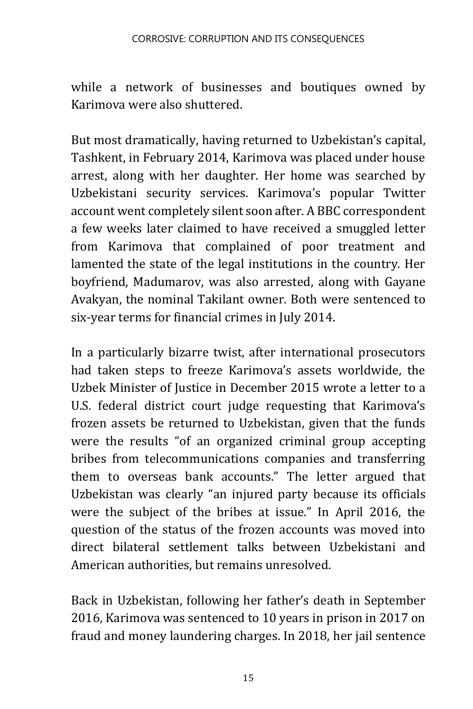while a network of businesses and boutiques owned by Karimova were also shuttered.

But most dramatically, having returned to Uzbekistan's capital, Tashkent, in February 2014, Karimova was placed under house arrest, along with her daughter. Her home was searched by Uzbekistani security services. Karimova's popular Twitter account went completely silent soon after. A BBC correspondent a few weeks later claimed to have received a smuggled letter from Karimova that complained of poor treatment and lamented the state of the legal institutions in the country. Her boyfriend, Madumarov, was also arrested, along with Gayane Avakyan, the nominal Takilant owner. Both were sentenced to six-year terms for financial crimes in July 2014.

In a particularly bizarre twist, after international prosecutors had taken steps to freeze Karimova's assets worldwide, the Uzbek Minister of Justice in December 2015 wrote a letter to a U.S. federal district court judge requesting that Karimova's frozen assets be returned to Uzbekistan, given that the funds were the results "of an organized criminal group accepting bribes from telecommunications companies and transferring them to overseas bank accounts." The letter argued that Uzbekistan was clearly "an injured party because its officials were the subject of the bribes at issue." In April 2016, the question of the status of the frozen accounts was moved into direct bilateral settlement talks between Uzbekistani and American authorities, but remains unresolved.

Back in Uzbekistan, following her father's death in September 2016, Karimova was sentenced to 10 years in prison in 2017 on fraud and money laundering charges. In 2018, her jail sentence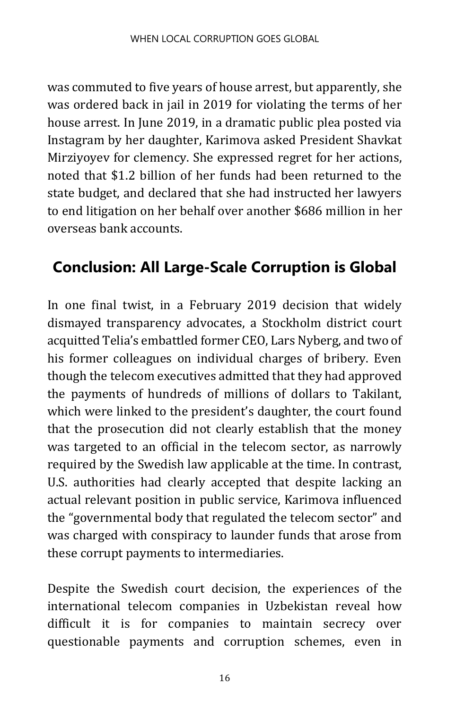was commuted to five years of house arrest, but apparently, she was ordered back in jail in 2019 for violating the terms of her house arrest. In June 2019, in a dramatic public plea posted via Instagram by her daughter, Karimova asked President Shavkat Mirziyoyev for clemency. She expressed regret for her actions, noted that \$1.2 billion of her funds had been returned to the state budget, and declared that she had instructed her lawyers to end litigation on her behalf over another \$686 million in her overseas bank accounts.

### **Conclusion: All Large-Scale Corruption is Global**

In one final twist, in a February 2019 decision that widely dismayed transparency advocates, a Stockholm district court acquitted Telia's embattled former CEO, Lars Nyberg, and two of his former colleagues on individual charges of bribery. Even though the telecom executives admitted that they had approved the payments of hundreds of millions of dollars to Takilant, which were linked to the president's daughter, the court found that the prosecution did not clearly establish that the money was targeted to an official in the telecom sector, as narrowly required by the Swedish law applicable at the time. In contrast, U.S. authorities had clearly accepted that despite lacking an actual relevant position in public service, Karimova influenced the "governmental body that regulated the telecom sector" and was charged with conspiracy to launder funds that arose from these corrupt payments to intermediaries.

Despite the Swedish court decision, the experiences of the international telecom companies in Uzbekistan reveal how difficult it is for companies to maintain secrecy over questionable payments and corruption schemes, even in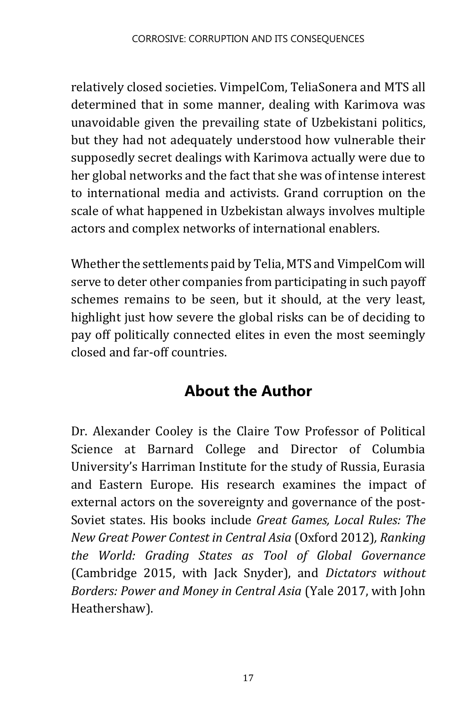relatively closed societies. VimpelCom, TeliaSonera and MTS all determined that in some manner, dealing with Karimova was unavoidable given the prevailing state of Uzbekistani politics, but they had not adequately understood how vulnerable their supposedly secret dealings with Karimova actually were due to her global networks and the fact that she was of intense interest to international media and activists. Grand corruption on the scale of what happened in Uzbekistan always involves multiple actors and complex networks of international enablers.

Whether the settlements paid by Telia, MTS and VimpelCom will serve to deter other companies from participating in such payoff schemes remains to be seen, but it should, at the very least, highlight just how severe the global risks can be of deciding to pay off politically connected elites in even the most seemingly closed and far-off countries.

### **About the Author**

Dr. Alexander Cooley is the Claire Tow Professor of Political Science at Barnard College and Director of Columbia University's Harriman Institute for the study of Russia, Eurasia and Eastern Europe. His research examines the impact of external actors on the sovereignty and governance of the post-Soviet states. His books include *Great Games, Local Rules: The New Great Power Contest in Central Asia* (Oxford 2012)*, Ranking the World: Grading States as Tool of Global Governance*  (Cambridge 2015, with Jack Snyder), and *Dictators without Borders: Power and Money in Central Asia* (Yale 2017, with John Heathershaw).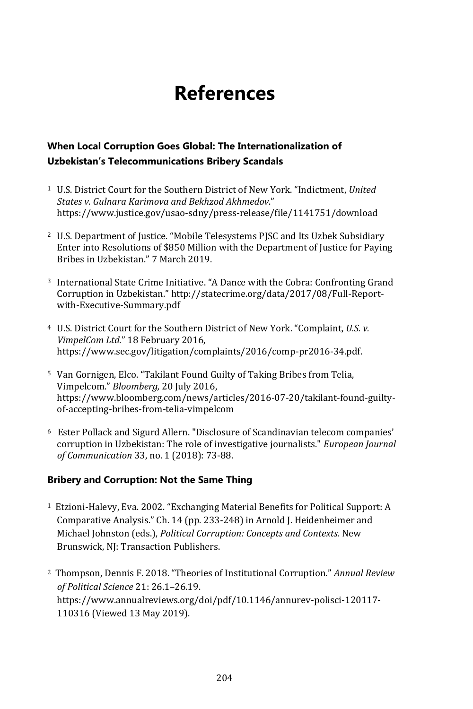## **References**

#### **When Local Corruption Goes Global: The Internationalization of Uzbekistan's Telecommunications Bribery Scandals**

- <sup>1</sup> U.S. District Court for the Southern District of New York. "Indictment, *United States v. Gulnara Karimova and Bekhzod Akhmedov*." [https://www.justice.gov/usao-sdny/press-release/file/1141751/downloa](https://www.justice.gov/usao-sdny/press-release/file/1141751/download)d
- <sup>2</sup> U.S. Department of Justice. "Mobile Telesystems PJSC and Its Uzbek Subsidiary Enter into Resolutions of \$850 Million with the Department of Justice for Paying Bribes in Uzbekistan." 7 March 2019.
- <sup>3</sup> International State Crime Initiative. "A Dance with the Cobra: Confronting Grand Corruption in Uzbekistan." [http://statecrime.org/data/2017/08/Full-Report](http://statecrime.org/data/2017/08/Full-Report-with-Executive-Summary.pdf)[with-Executive-Summary.pd](http://statecrime.org/data/2017/08/Full-Report-with-Executive-Summary.pdf)f
- <sup>4</sup> U.S. District Court for the Southern District of New York. "Complaint, *U.S. v. VimpelCom Ltd.*" 18 February 2016, [https://www.sec.gov/litigation/complaints/2016/comp-pr2016-34.pd](https://www.sec.gov/litigation/complaints/2016/comp-pr2016-34.pdf)f.
- <sup>5</sup> Van Gornigen, Elco. "Takilant Found Guilty of Taking Bribes from Telia, Vimpelcom." *Bloomberg,* 20 July 2016, [https://www.bloomberg.com/news/articles/2016-07-20/takilant-found-guilty](https://www.bloomberg.com/news/articles/2016-07-20/takilant-found-guilty-of-accepting-bribes-from-telia-vimpelcom)[of-accepting-bribes-from-telia-vimpelcom](https://www.bloomberg.com/news/articles/2016-07-20/takilant-found-guilty-of-accepting-bribes-from-telia-vimpelcom)
- <sup>6</sup> Ester Pollack and Sigurd Allern. "Disclosure of Scandinavian telecom companies' corruption in Uzbekistan: The role of investigative journalists." *European Journal of Communication* 33, no. 1 (2018): 73-88.

#### **Bribery and Corruption: Not the Same Thing**

- <sup>1</sup> Etzioni-Halevy, Eva. 2002. "Exchanging Material Benefits for Political Support: A Comparative Analysis." Ch. 14 (pp. 233-248) in Arnold J. Heidenheimer and Michael Johnston (eds.), *Political Corruption: Concepts and Contexts.* New Brunswick, NJ: Transaction Publishers.
- <sup>2</sup> Thompson, Dennis F. 2018. "Theories of Institutional Corruption." *Annual Review of Political Science* 21: 26.1–26.19. https://www.annualreviews.org/doi/pdf/10.1146/annurev-polisci-120117- 110316 (Viewed 13 May 2019).